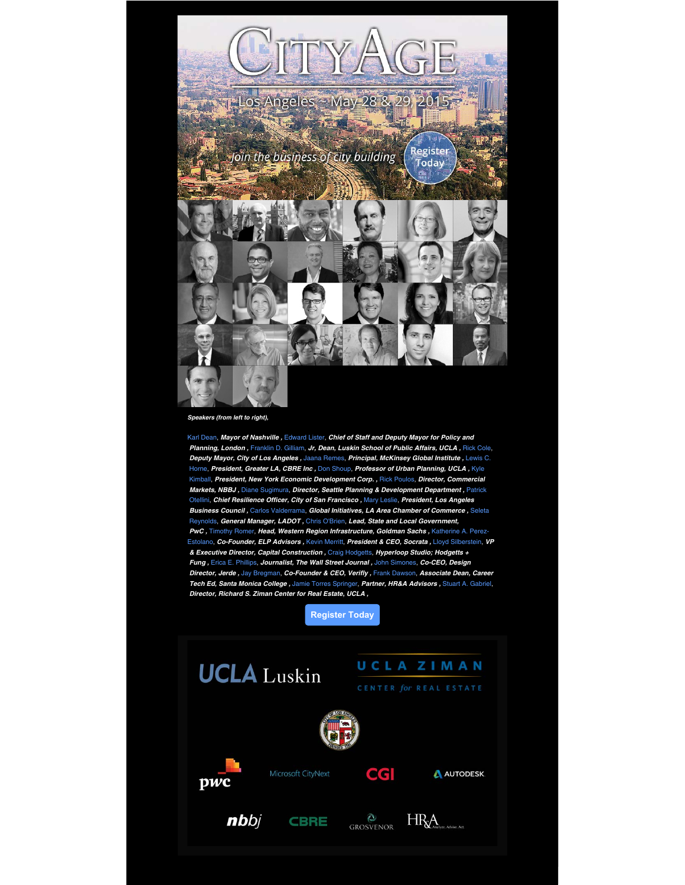

**Speakers (from left to right),**

Karl Dean, **Mayor of Nashville ,** Edward Lister, **Chief of Staff and Deputy Mayor for Policy and Planning, London ,** Franklin D. Gilliam, **Jr, Dean, Luskin School of Public Affairs, UCLA ,** Rick Cole, **Deputy Mayor, City of Los Angeles ,** Jaana Remes, **Principal, McKinsey Global Institute ,** Lewis C. Horne, **President, Greater LA, CBRE Inc ,** Don Shoup, **Professor of Urban Planning, UCLA ,** Kyle Kimball, **President, New York Economic Development Corp. ,** Rick Poulos, **Director, Commercial Markets, NBBJ ,** Diane Sugimura, **Director, Seattle Planning & Development Department ,** Patrick Otellini, **Chief Resilience Officer, City of San Francisco ,** Mary Leslie, **President, Los Angeles Business Council ,** Carlos Valderrama, **Global Initiatives, LA Area Chamber of Commerce ,** Seleta Reynolds, **General Manager, LADOT ,** Chris O'Brien, **Lead, State and Local Government, PwC ,** Timothy Romer, **Head, Western Region Infrastructure, Goldman Sachs ,** Katherine A. Perez-Estolano, **Co-Founder, ELP Advisors ,** Kevin Merritt, **President & CEO, Socrata ,** Lloyd Silberstein, **VP & Executive Director, Capital Construction ,** Craig Hodgetts, **Hyperloop Studio; Hodgetts + Fung ,** Erica E. Phillips, **Journalist, The Wall Street Journal ,** John Simones, **Co-CEO, Design Director, Jerde ,** Jay Bregman, **Co-Founder & CEO, Verifly ,** Frank Dawson, **Associate Dean, Career Tech Ed, Santa Monica College ,** Jamie Torres Springer, **Partner, HR&A Advisors ,** Stuart A. Gabriel, **Director, Richard S. Ziman Center for Real Estate, UCLA ,**



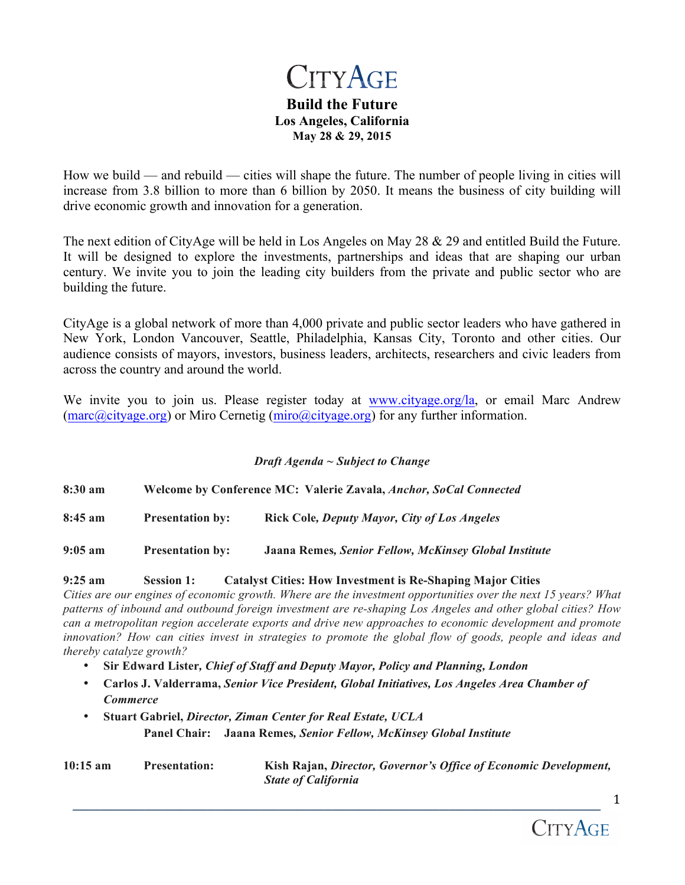# **CITYAGE**

## **Build the Future Los Angeles, California May 28 & 29, 2015**

How we build — and rebuild — cities will shape the future. The number of people living in cities will increase from 3.8 billion to more than 6 billion by 2050. It means the business of city building will drive economic growth and innovation for a generation.

The next edition of CityAge will be held in Los Angeles on May 28 & 29 and entitled Build the Future. It will be designed to explore the investments, partnerships and ideas that are shaping our urban century. We invite you to join the leading city builders from the private and public sector who are building the future.

CityAge is a global network of more than 4,000 private and public sector leaders who have gathered in New York, London Vancouver, Seattle, Philadelphia, Kansas City, Toronto and other cities. Our audience consists of mayors, investors, business leaders, architects, researchers and civic leaders from across the country and around the world.

We invite you to join us. Please register today at www.cityage.org/la, or email Marc Andrew (marc@cityage.org) or Miro Cernetig (miro@cityage.org) for any further information.

## *Draft Agenda ~ Subject to Change*

**8:30 am Welcome by Conference MC: Valerie Zavala,** *Anchor, SoCal Connected* **8:45 am Presentation by: Rick Cole***, Deputy Mayor, City of Los Angeles* **9:05 am Presentation by: Jaana Remes***, Senior Fellow, McKinsey Global Institute*

## **9:25 am Session 1: Catalyst Cities: How Investment is Re-Shaping Major Cities**

*Cities are our engines of economic growth. Where are the investment opportunities over the next 15 years? What patterns of inbound and outbound foreign investment are re-shaping Los Angeles and other global cities? How can a metropolitan region accelerate exports and drive new approaches to economic development and promote innovation? How can cities invest in strategies to promote the global flow of goods, people and ideas and thereby catalyze growth?*

- **Sir Edward Lister***, Chief of Staff and Deputy Mayor, Policy and Planning, London*
- **Carlos J. Valderrama,** *Senior Vice President, Global Initiatives, Los Angeles Area Chamber of Commerce*
- **Stuart Gabriel,** *Director, Ziman Center for Real Estate, UCLA* **Panel Chair: Jaana Remes***, Senior Fellow, McKinsey Global Institute*

| $10:15 \text{ am}$ | <b>Presentation:</b> | Kish Rajan, Director, Governor's Office of Economic Development, |
|--------------------|----------------------|------------------------------------------------------------------|
|                    |                      | <b>State of California</b>                                       |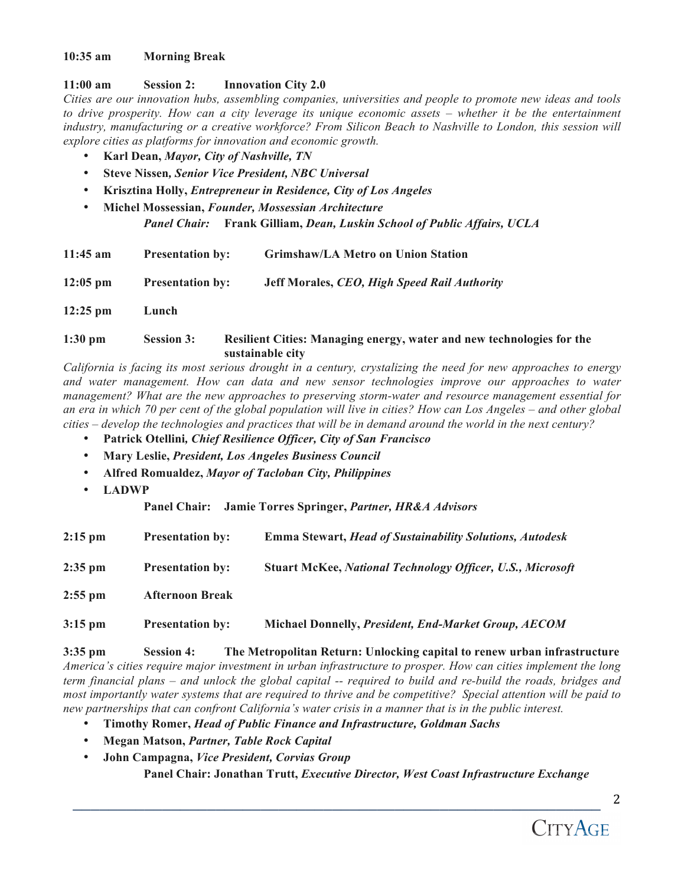### **10:35 am Morning Break**

## **11:00 am Session 2: Innovation City 2.0**

*Cities are our innovation hubs, assembling companies, universities and people to promote new ideas and tools to drive prosperity. How can a city leverage its unique economic assets – whether it be the entertainment industry, manufacturing or a creative workforce? From Silicon Beach to Nashville to London, this session will explore cities as platforms for innovation and economic growth.* 

- **Karl Dean,** *Mayor, City of Nashville, TN*
- **Steve Nissen***, Senior Vice President, NBC Universal*
- **Krisztina Holly,** *Entrepreneur in Residence, City of Los Angeles*
- **Michel Mossessian,** *Founder, Mossessian Architecture*

*Panel Chair:* **Frank Gilliam,** *Dean, Luskin School of Public Affairs, UCLA*

| $11:45$ am         | <b>Presentation by:</b> | <b>Grimshaw/LA Metro on Union Station</b>                             |
|--------------------|-------------------------|-----------------------------------------------------------------------|
| $12:05 \text{ pm}$ | <b>Presentation by:</b> | Jeff Morales, CEO, High Speed Rail Authority                          |
| $12:25$ pm         | Lunch                   |                                                                       |
| $1:30$ pm          | <b>Session 3:</b>       | Resilient Cities: Managing energy, water and new technologies for the |

**sustainable city** *California is facing its most serious drought in a century, crystalizing the need for new approaches to energy* 

*and water management. How can data and new sensor technologies improve our approaches to water management? What are the new approaches to preserving storm-water and resource management essential for an era in which 70 per cent of the global population will live in cities? How can Los Angeles – and other global cities – develop the technologies and practices that will be in demand around the world in the next century?* 

- **Patrick Otellini***, Chief Resilience Officer, City of San Francisco*
- **Mary Leslie,** *President, Los Angeles Business Council*
- **Alfred Romualdez,** *Mayor of Tacloban City, Philippines*
- **LADWP**

**Panel Chair: Jamie Torres Springer,** *Partner, HR&A Advisors*

| $2:15$ pm | <b>Presentation by:</b> | <b>Emma Stewart, Head of Sustainability Solutions, Autodesk</b>   |
|-----------|-------------------------|-------------------------------------------------------------------|
| $2:35$ pm | <b>Presentation by:</b> | <b>Stuart McKee, National Technology Officer, U.S., Microsoft</b> |
| $2:55$ pm | <b>Afternoon Break</b>  |                                                                   |
| $3:15$ pm | <b>Presentation by:</b> | <b>Michael Donnelly, President, End-Market Group, AECOM</b>       |

**3:35 pm Session 4: The Metropolitan Return: Unlocking capital to renew urban infrastructure** *America's cities require major investment in urban infrastructure to prosper. How can cities implement the long term financial plans – and unlock the global capital -- required to build and re-build the roads, bridges and most importantly water systems that are required to thrive and be competitive? Special attention will be paid to new partnerships that can confront California's water crisis in a manner that is in the public interest.* 

- **Timothy Romer,** *Head of Public Finance and Infrastructure, Goldman Sachs*
- **Megan Matson,** *Partner, Table Rock Capital*
- **John Campagna,** *Vice President, Corvias Group* **Panel Chair: Jonathan Trutt,** *Executive Director, West Coast Infrastructure Exchange*

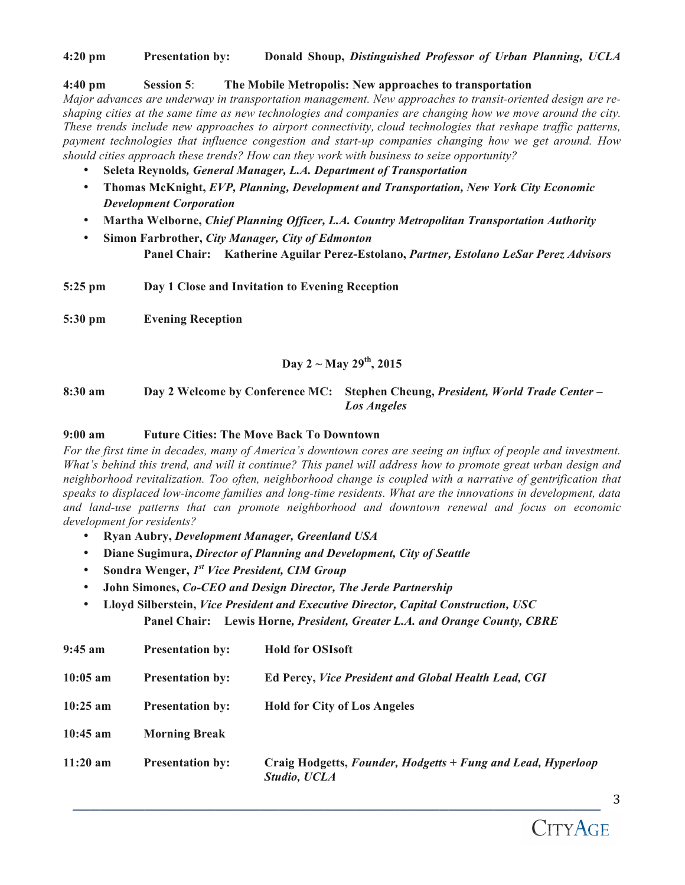## **4:20 pm Presentation by: Donald Shoup,** *Distinguished Professor of Urban Planning, UCLA*

#### **4:40 pm Session 5**: **The Mobile Metropolis: New approaches to transportation**

*Major advances are underway in transportation management. New approaches to transit-oriented design are reshaping cities at the same time as new technologies and companies are changing how we move around the city. These trends include new approaches to airport connectivity, cloud technologies that reshape traffic patterns, payment technologies that influence congestion and start-up companies changing how we get around. How should cities approach these trends? How can they work with business to seize opportunity?* 

- **Seleta Reynolds***, General Manager, L.A. Department of Transportation*
- **Thomas McKnight,** *EVP, Planning, Development and Transportation, New York City Economic Development Corporation*
- **Martha Welborne,** *Chief Planning Officer, L.A. Country Metropolitan Transportation Authority*
- **Simon Farbrother,** *City Manager, City of Edmonton* **Panel Chair: Katherine Aguilar Perez-Estolano,** *Partner, Estolano LeSar Perez Advisors*

**5:25 pm Day 1 Close and Invitation to Evening Reception**

**5:30 pm Evening Reception**

# **Day 2 ~ May 29th, 2015**

**8:30 am Day 2 Welcome by Conference MC: Stephen Cheung,** *President, World Trade Center – Los Angeles*

#### **9:00 am Future Cities: The Move Back To Downtown**

*For the first time in decades, many of America's downtown cores are seeing an influx of people and investment. What's behind this trend, and will it continue? This panel will address how to promote great urban design and*  neighborhood revitalization. Too often, neighborhood change is coupled with a narrative of gentrification that *speaks to displaced low-income families and long-time residents. What are the innovations in development, data and land-use patterns that can promote neighborhood and downtown renewal and focus on economic development for residents?*

- **Ryan Aubry,** *Development Manager, Greenland USA*
- **Diane Sugimura,** *Director of Planning and Development, City of Seattle*
- **Sondra Wenger,** *1st Vice President, CIM Group*
- **John Simones,** *Co-CEO and Design Director, The Jerde Partnership*
- **Lloyd Silberstein,** *Vice President and Executive Director, Capital Construction, USC* **Panel Chair: Lewis Horne***, President, Greater L.A. and Orange County, CBRE*

| $9:45$ am  | <b>Presentation by:</b> | <b>Hold for OSIsoft</b>                                                      |
|------------|-------------------------|------------------------------------------------------------------------------|
| $10:05$ am | <b>Presentation by:</b> | <b>Ed Percy, Vice President and Global Health Lead, CGI</b>                  |
| $10:25$ am | <b>Presentation by:</b> | <b>Hold for City of Los Angeles</b>                                          |
| $10:45$ am | <b>Morning Break</b>    |                                                                              |
| $11:20$ am | <b>Presentation by:</b> | Craig Hodgetts, Founder, Hodgetts + Fung and Lead, Hyperloop<br>Studio, UCLA |

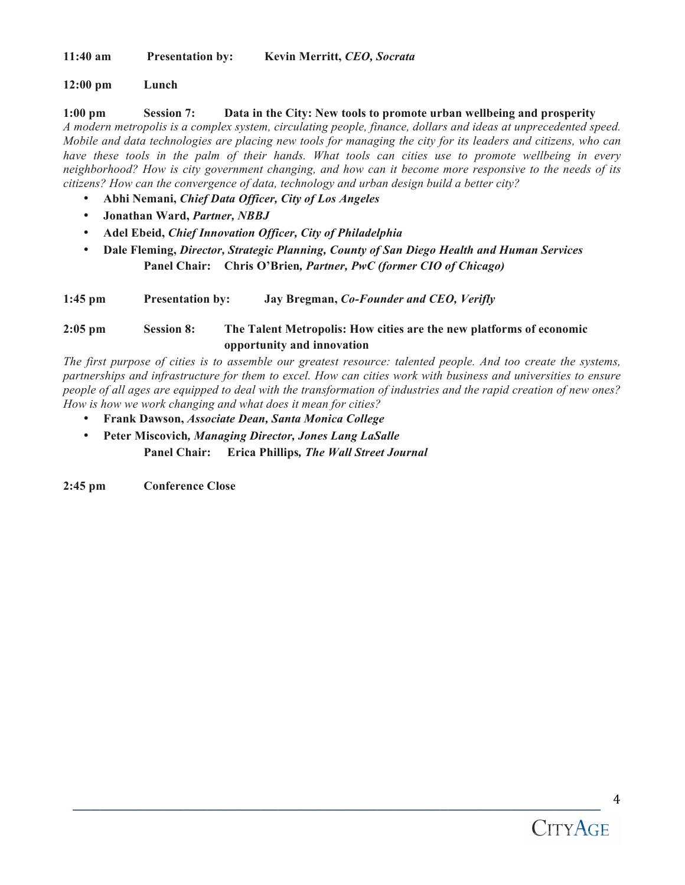**11:40 am Presentation by: Kevin Merritt,** *CEO, Socrata*

## **12:00 pm Lunch**

**1:00 pm Session 7: Data in the City: New tools to promote urban wellbeing and prosperity** *A modern metropolis is a complex system, circulating people, finance, dollars and ideas at unprecedented speed. Mobile and data technologies are placing new tools for managing the city for its leaders and citizens, who can have these tools in the palm of their hands. What tools can cities use to promote wellbeing in every neighborhood? How is city government changing, and how can it become more responsive to the needs of its citizens? How can the convergence of data, technology and urban design build a better city?*

- **Abhi Nemani,** *Chief Data Officer, City of Los Angeles*
- **Jonathan Ward,** *Partner, NBBJ*
- **Adel Ebeid,** *Chief Innovation Officer, City of Philadelphia*
- **Dale Fleming,** *Director, Strategic Planning, County of San Diego Health and Human Services* **Panel Chair: Chris O'Brien***, Partner, PwC (former CIO of Chicago)*

**1:45 pm Presentation by: Jay Bregman,** *Co-Founder and CEO, Verifly*

# **2:05 pm Session 8: The Talent Metropolis: How cities are the new platforms of economic opportunity and innovation**

*The first purpose of cities is to assemble our greatest resource: talented people. And too create the systems, partnerships and infrastructure for them to excel. How can cities work with business and universities to ensure people of all ages are equipped to deal with the transformation of industries and the rapid creation of new ones? How is how we work changing and what does it mean for cities?* 

- **Frank Dawson,** *Associate Dean, Santa Monica College*
- **Peter Miscovich***, Managing Director, Jones Lang LaSalle* **Panel Chair: Erica Phillips***, The Wall Street Journal*

**2:45 pm Conference Close**